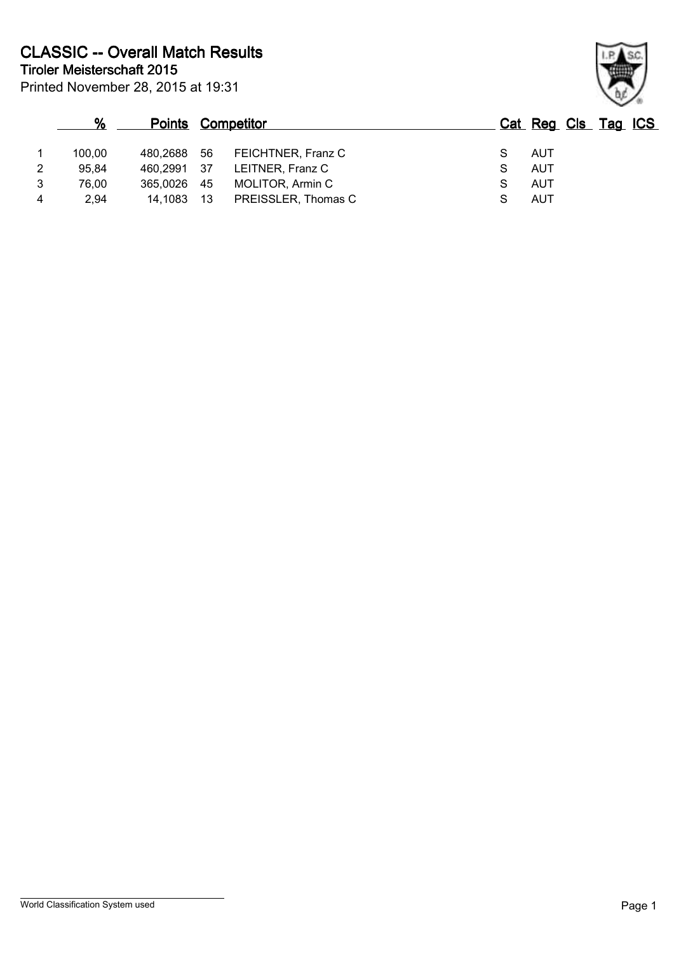|                | %      |             |    | <b>Points Competitor</b> | Cat Reg Cls Tag ICS |  |  |
|----------------|--------|-------------|----|--------------------------|---------------------|--|--|
|                | 100.00 | 480,2688 56 |    | FEICHTNER, Franz C       | AUT                 |  |  |
| $\overline{2}$ | 95,84  | 460,2991 37 |    | LEITNER, Franz C         | AUT                 |  |  |
| 3              | 76.00  | 365.0026    | 45 | MOLITOR, Armin C         | <b>AUT</b>          |  |  |
| $\overline{4}$ | 2.94   | 14.1083     | 13 | PREISSLER, Thomas C      | <b>AUT</b>          |  |  |

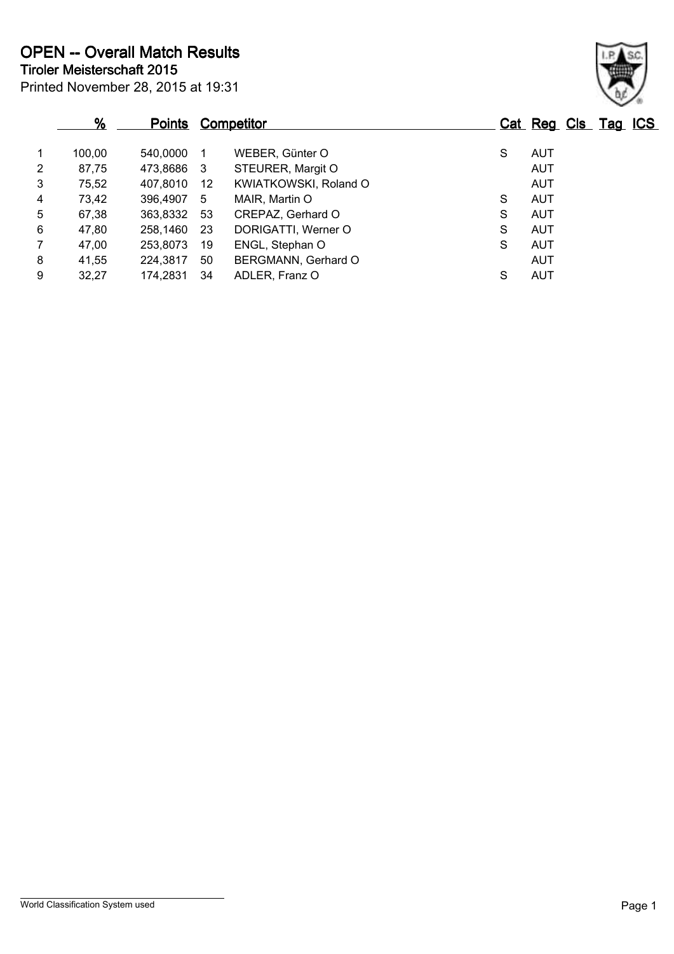|                | %      |          |     | <b>Points Competitor</b> |   | Cat Reg Cls Tag ICS |  |  |
|----------------|--------|----------|-----|--------------------------|---|---------------------|--|--|
| $\mathbf{1}$   | 100,00 | 540,0000 |     | WEBER, Günter O          | S | <b>AUT</b>          |  |  |
| $\overline{2}$ | 87,75  | 473,8686 | -3  | STEURER, Margit O        |   | AUT                 |  |  |
| 3              | 75,52  | 407,8010 | 12  | KWIATKOWSKI, Roland O    |   | AUT                 |  |  |
| 4              | 73,42  | 396,4907 | -5  | MAIR, Martin O           | S | <b>AUT</b>          |  |  |
| 5              | 67,38  | 363,8332 | -53 | CREPAZ, Gerhard O        | S | AUT                 |  |  |
| 6              | 47,80  | 258,1460 | -23 | DORIGATTI, Werner O      | S | AUT                 |  |  |
| $\overline{7}$ | 47,00  | 253,8073 | 19  | ENGL, Stephan O          | S | AUT                 |  |  |
| 8              | 41,55  | 224,3817 | 50  | BERGMANN, Gerhard O      |   | AUT                 |  |  |
| 9              | 32,27  | 174,2831 | 34  | ADLER, Franz O           | S | AUT                 |  |  |

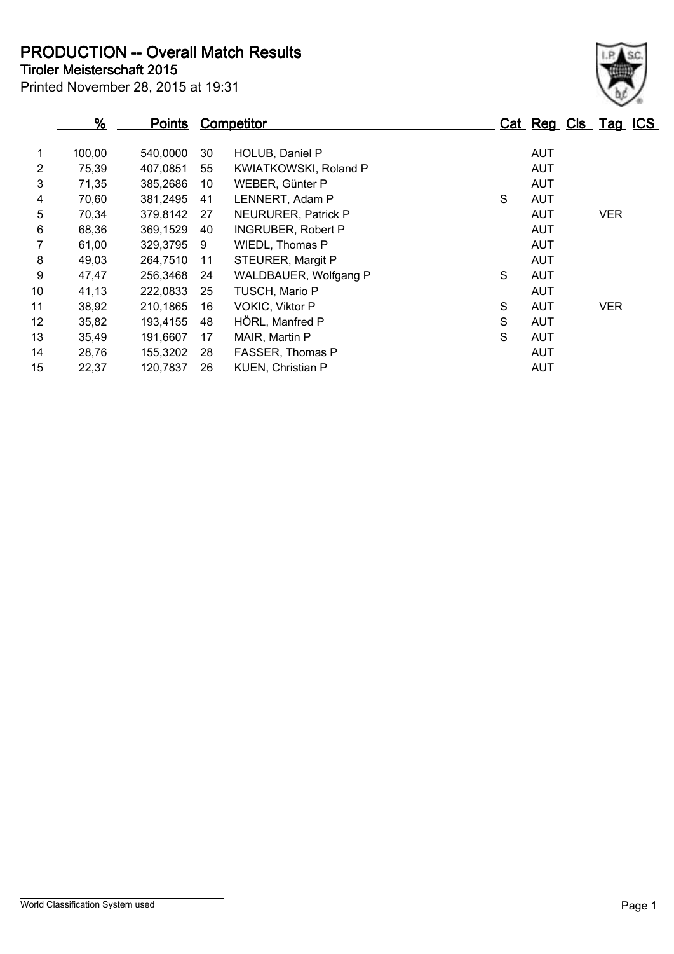**Tiroler Meisterschaft 2015 PRODUCTION -- Overall Match Results**

| THUIGHT INGIBLEIBUHAIL ZU IU     |  |  |
|----------------------------------|--|--|
| Printed November 28, 2015 at 19: |  |  |

## Printed November 28, 2015 at 19:31

|                |        |               |    |                              |   |            | $\checkmark$        |
|----------------|--------|---------------|----|------------------------------|---|------------|---------------------|
|                | %      | <b>Points</b> |    | Competitor                   |   |            | Cat Reg Cls Tag ICS |
| $\mathbf{1}$   | 100,00 | 540,0000      | 30 | HOLUB, Daniel P              |   | <b>AUT</b> |                     |
| $\overline{2}$ | 75,39  | 407.0851      | 55 | <b>KWIATKOWSKI, Roland P</b> |   | <b>AUT</b> |                     |
| 3              | 71,35  | 385,2686      | 10 | WEBER, Günter P              |   | <b>AUT</b> |                     |
| 4              | 70,60  | 381,2495      | 41 | LENNERT, Adam P              | S | <b>AUT</b> |                     |
| 5              | 70,34  | 379.8142      | 27 | NEURURER, Patrick P          |   | <b>AUT</b> | <b>VER</b>          |
| 6              | 68,36  | 369,1529      | 40 | <b>INGRUBER, Robert P</b>    |   | <b>AUT</b> |                     |
| 7              | 61,00  | 329,3795      | -9 | WIEDL, Thomas P              |   | <b>AUT</b> |                     |
| 8              | 49,03  | 264.7510      | 11 | STEURER, Margit P            |   | AUT        |                     |
| 9              | 47.47  | 256.3468      | 24 | WALDBAUER, Wolfgang P        | S | <b>AUT</b> |                     |
| 10             | 41,13  | 222,0833      | 25 | TUSCH, Mario P               |   | <b>AUT</b> |                     |
| 11             | 38,92  | 210,1865      | 16 | <b>VOKIC, Viktor P</b>       | S | <b>AUT</b> | <b>VER</b>          |
| 12             | 35,82  | 193.4155      | 48 | HÖRL, Manfred P              | S | AUT        |                     |
| 13             | 35,49  | 191,6607      | 17 | MAIR, Martin P               | S | <b>AUT</b> |                     |
| 14             | 28,76  | 155,3202      | 28 | FASSER, Thomas P             |   | <b>AUT</b> |                     |

15 22,37 120,7837 26 KUEN, Christian P 6 22,37 AUT

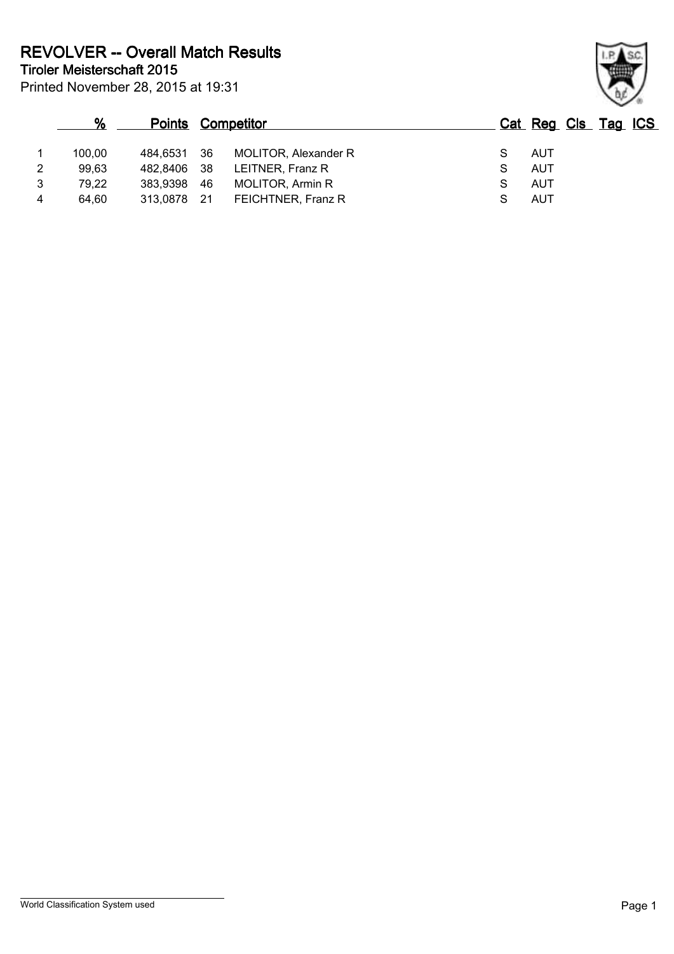Printed November 28, 2015 at 19:31

|                | %      |             |      | <b>Points Competitor</b> |            | Cat Reg Cls Tag ICS |
|----------------|--------|-------------|------|--------------------------|------------|---------------------|
|                | 100.00 | 484,6531 36 |      | MOLITOR, Alexander R     | AUT        |                     |
| $\overline{2}$ | 99,63  | 482,8406 38 |      | LEITNER, Franz R         | <b>AUT</b> |                     |
| 3              | 79,22  | 383.9398    | -46  | <b>MOLITOR, Armin R</b>  | AUT        |                     |
| 4              | 64.60  | 313.0878    | - 21 | FEICHTNER, Franz R       | AUT        |                     |